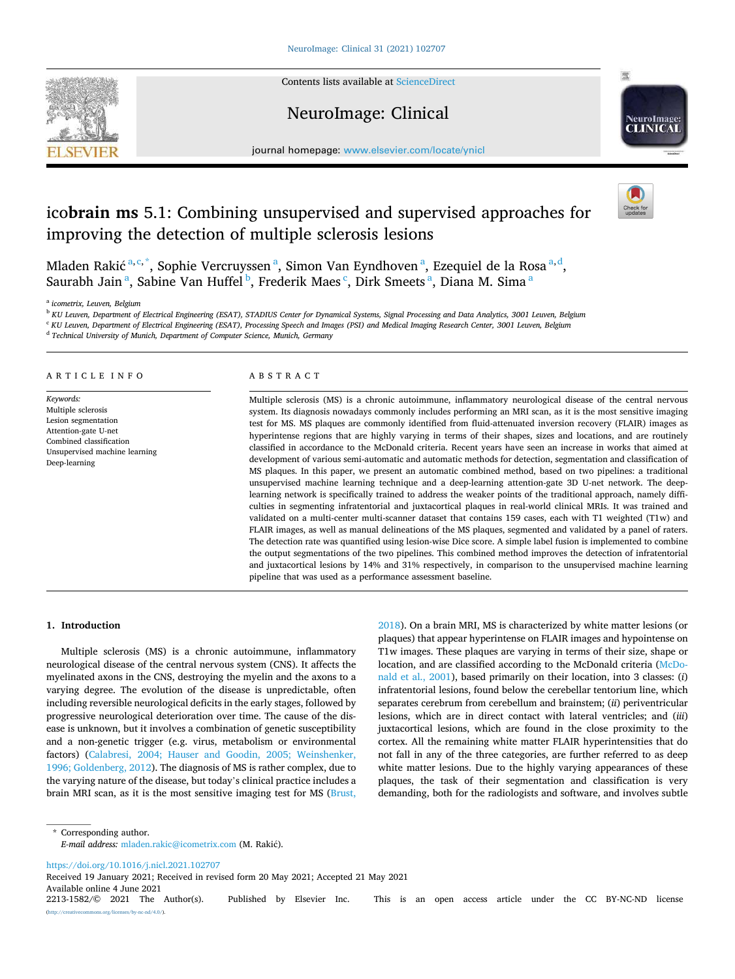Contents lists available at [ScienceDirect](www.sciencedirect.com/science/journal/22131582)

# NeuroImage: Clinical



journal homepage: [www.elsevier.com/locate/ynicl](https://www.elsevier.com/locate/ynicl)

# ico**brain ms** 5.1: Combining unsupervised and supervised approaches for improving the detection of multiple sclerosis lesions

Mladen Rakić <sup>a, c, \*</sup>, Sophie Vercruyssen <sup>a</sup>, Simon Van Eyndhoven <sup>a</sup>, Ezequiel de la Rosa <sup>a, d</sup>, Saurabh Jain<sup>a</sup>, Sabine Van Huffel<sup>b</sup>, Frederik Maes<sup>c</sup>, Dirk Smeets<sup>a</sup>, Diana M. Sima<sup>a</sup>

<sup>a</sup> *icometrix, Leuven, Belgium* 

<sup>b</sup> *KU Leuven, Department of Electrical Engineering (ESAT), STADIUS Center for Dynamical Systems, Signal Processing and Data Analytics, 3001 Leuven, Belgium* 

<sup>c</sup> KU Leuven, Department of Electrical Engineering (ESAT), Processing Speech and Images (PSI) and Medical Imaging Research Center, 3001 Leuven, Belgium

<sup>d</sup> *Technical University of Munich, Department of Computer Science, Munich, Germany* 

# ARTICLE INFO

*Keywords:*  Multiple sclerosis Lesion segmentation Attention-gate U-net Combined classification Unsupervised machine learning Deep-learning

# ABSTRACT

Multiple sclerosis (MS) is a chronic autoimmune, inflammatory neurological disease of the central nervous system. Its diagnosis nowadays commonly includes performing an MRI scan, as it is the most sensitive imaging test for MS. MS plaques are commonly identified from fluid-attenuated inversion recovery (FLAIR) images as hyperintense regions that are highly varying in terms of their shapes, sizes and locations, and are routinely classified in accordance to the McDonald criteria. Recent years have seen an increase in works that aimed at development of various semi-automatic and automatic methods for detection, segmentation and classification of MS plaques. In this paper, we present an automatic combined method, based on two pipelines: a traditional unsupervised machine learning technique and a deep-learning attention-gate 3D U-net network. The deeplearning network is specifically trained to address the weaker points of the traditional approach, namely difficulties in segmenting infratentorial and juxtacortical plaques in real-world clinical MRIs. It was trained and validated on a multi-center multi-scanner dataset that contains 159 cases, each with T1 weighted (T1w) and FLAIR images, as well as manual delineations of the MS plaques, segmented and validated by a panel of raters. The detection rate was quantified using lesion-wise Dice score. A simple label fusion is implemented to combine the output segmentations of the two pipelines. This combined method improves the detection of infratentorial and juxtacortical lesions by 14% and 31% respectively, in comparison to the unsupervised machine learning pipeline that was used as a performance assessment baseline.

#### **1. Introduction**

Multiple sclerosis (MS) is a chronic autoimmune, inflammatory neurological disease of the central nervous system (CNS). It affects the myelinated axons in the CNS, destroying the myelin and the axons to a varying degree. The evolution of the disease is unpredictable, often including reversible neurological deficits in the early stages, followed by progressive neurological deterioration over time. The cause of the disease is unknown, but it involves a combination of genetic susceptibility and a non-genetic trigger (e.g. virus, metabolism or environmental factors) ([Calabresi, 2004; Hauser and Goodin, 2005; Weinshenker,](#page-8-0)  [1996; Goldenberg, 2012\)](#page-8-0). The diagnosis of MS is rather complex, due to the varying nature of the disease, but today's clinical practice includes a brain MRI scan, as it is the most sensitive imaging test for MS [\(Brust,](#page-8-0) 

[2018\)](#page-8-0). On a brain MRI, MS is characterized by white matter lesions (or plaques) that appear hyperintense on FLAIR images and hypointense on T1w images. These plaques are varying in terms of their size, shape or location, and are classified according to the McDonald criteria ([McDo](#page-8-0)[nald et al., 2001\)](#page-8-0), based primarily on their location, into 3 classes: (*i*) infratentorial lesions, found below the cerebellar tentorium line, which separates cerebrum from cerebellum and brainstem; (*ii*) periventricular lesions, which are in direct contact with lateral ventricles; and (*iii*) juxtacortical lesions, which are found in the close proximity to the cortex. All the remaining white matter FLAIR hyperintensities that do not fall in any of the three categories, are further referred to as deep white matter lesions. Due to the highly varying appearances of these plaques, the task of their segmentation and classification is very demanding, both for the radiologists and software, and involves subtle

\* Corresponding author. *E-mail address: [mladen.rakic@icometrix.com](mailto:mladen.rakic@icometrix.com) (M. Rakić).* 

<https://doi.org/10.1016/j.nicl.2021.102707>

Available online 4 June 2021<br>2213-1582/© 2021 The Author(s). Received 19 January 2021; Received in revised form 20 May 2021; Accepted 21 May 2021

Published by Elsevier Inc. This is an open access article under the CC BY-NC-ND license (s.org/licenses/by-nc-nd/4.0/).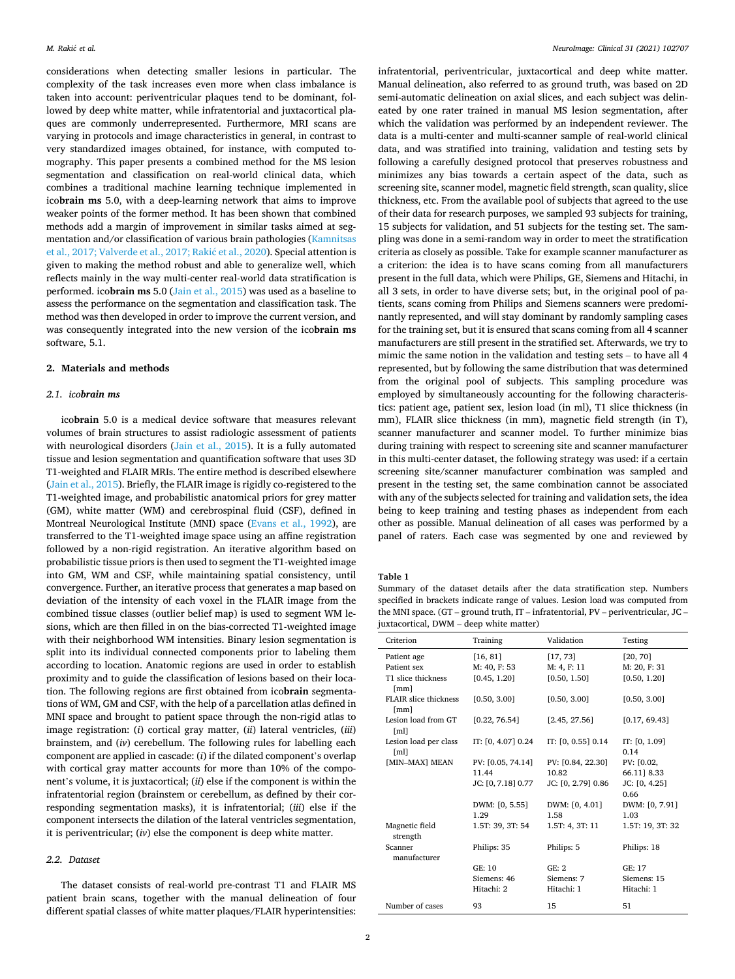<span id="page-1-0"></span>considerations when detecting smaller lesions in particular. The complexity of the task increases even more when class imbalance is taken into account: periventricular plaques tend to be dominant, followed by deep white matter, while infratentorial and juxtacortical plaques are commonly underrepresented. Furthermore, MRI scans are varying in protocols and image characteristics in general, in contrast to very standardized images obtained, for instance, with computed tomography. This paper presents a combined method for the MS lesion segmentation and classification on real-world clinical data, which combines a traditional machine learning technique implemented in ico**brain ms** 5.0, with a deep-learning network that aims to improve weaker points of the former method. It has been shown that combined methods add a margin of improvement in similar tasks aimed at segmentation and/or classification of various brain pathologies ([Kamnitsas](#page-8-0)  [et al., 2017; Valverde et al., 2017; Raki](#page-8-0)ć et al., 2020). Special attention is given to making the method robust and able to generalize well, which reflects mainly in the way multi-center real-world data stratification is performed. ico**brain ms** 5.0 [\(Jain et al., 2015\)](#page-8-0) was used as a baseline to assess the performance on the segmentation and classification task. The method was then developed in order to improve the current version, and was consequently integrated into the new version of the ico**brain ms**  software, 5.1.

### **2. Materials and methods**

## *2.1. icobrain ms*

ico**brain** 5.0 is a medical device software that measures relevant volumes of brain structures to assist radiologic assessment of patients with neurological disorders [\(Jain et al., 2015](#page-8-0)). It is a fully automated tissue and lesion segmentation and quantification software that uses 3D T1-weighted and FLAIR MRIs. The entire method is described elsewhere ([Jain et al., 2015\)](#page-8-0). Briefly, the FLAIR image is rigidly co-registered to the T1-weighted image, and probabilistic anatomical priors for grey matter (GM), white matter (WM) and cerebrospinal fluid (CSF), defined in Montreal Neurological Institute (MNI) space ([Evans et al., 1992](#page-8-0)), are transferred to the T1-weighted image space using an affine registration followed by a non-rigid registration. An iterative algorithm based on probabilistic tissue priors is then used to segment the T1-weighted image into GM, WM and CSF, while maintaining spatial consistency, until convergence. Further, an iterative process that generates a map based on deviation of the intensity of each voxel in the FLAIR image from the combined tissue classes (outlier belief map) is used to segment WM lesions, which are then filled in on the bias-corrected T1-weighted image with their neighborhood WM intensities. Binary lesion segmentation is split into its individual connected components prior to labeling them according to location. Anatomic regions are used in order to establish proximity and to guide the classification of lesions based on their location. The following regions are first obtained from ico**brain** segmentations of WM, GM and CSF, with the help of a parcellation atlas defined in MNI space and brought to patient space through the non-rigid atlas to image registration: (*i*) cortical gray matter, (*ii*) lateral ventricles, (*iii*) brainstem, and (*iv*) cerebellum. The following rules for labelling each component are applied in cascade: (*i*) if the dilated component's overlap with cortical gray matter accounts for more than 10% of the component's volume, it is juxtacortical; (*ii*) else if the component is within the infratentorial region (brainstem or cerebellum, as defined by their corresponding segmentation masks), it is infratentorial; (*iii*) else if the component intersects the dilation of the lateral ventricles segmentation, it is periventricular; (*iv*) else the component is deep white matter.

# *2.2. Dataset*

The dataset consists of real-world pre-contrast T1 and FLAIR MS patient brain scans, together with the manual delineation of four different spatial classes of white matter plaques/FLAIR hyperintensities: infratentorial, periventricular, juxtacortical and deep white matter. Manual delineation, also referred to as ground truth, was based on 2D semi-automatic delineation on axial slices, and each subject was delineated by one rater trained in manual MS lesion segmentation, after which the validation was performed by an independent reviewer. The data is a multi-center and multi-scanner sample of real-world clinical data, and was stratified into training, validation and testing sets by following a carefully designed protocol that preserves robustness and minimizes any bias towards a certain aspect of the data, such as screening site, scanner model, magnetic field strength, scan quality, slice thickness, etc. From the available pool of subjects that agreed to the use of their data for research purposes, we sampled 93 subjects for training, 15 subjects for validation, and 51 subjects for the testing set. The sampling was done in a semi-random way in order to meet the stratification criteria as closely as possible. Take for example scanner manufacturer as a criterion: the idea is to have scans coming from all manufacturers present in the full data, which were Philips, GE, Siemens and Hitachi, in all 3 sets, in order to have diverse sets; but, in the original pool of patients, scans coming from Philips and Siemens scanners were predominantly represented, and will stay dominant by randomly sampling cases for the training set, but it is ensured that scans coming from all 4 scanner manufacturers are still present in the stratified set. Afterwards, we try to mimic the same notion in the validation and testing sets – to have all 4 represented, but by following the same distribution that was determined from the original pool of subjects. This sampling procedure was employed by simultaneously accounting for the following characteristics: patient age, patient sex, lesion load (in ml), T1 slice thickness (in mm), FLAIR slice thickness (in mm), magnetic field strength (in T), scanner manufacturer and scanner model. To further minimize bias during training with respect to screening site and scanner manufacturer in this multi-center dataset, the following strategy was used: if a certain screening site/scanner manufacturer combination was sampled and present in the testing set, the same combination cannot be associated with any of the subjects selected for training and validation sets, the idea being to keep training and testing phases as independent from each other as possible. Manual delineation of all cases was performed by a panel of raters. Each case was segmented by one and reviewed by

### **Table 1**

Summary of the dataset details after the data stratification step. Numbers specified in brackets indicate range of values. Lesion load was computed from the MNI space. (GT – ground truth, IT – infratentorial, PV – periventricular, JC – juxtacortical, DWM – deep white matter)

| Criterion                                     | Training           | Validation         | Testing                 |
|-----------------------------------------------|--------------------|--------------------|-------------------------|
| Patient age                                   | [16, 81]           | [17, 73]           | [20, 70]                |
| Patient sex                                   | M: 40, F: 53       | M: 4, F: 11        | M: 20, F: 31            |
| T1 slice thickness<br>[mm]                    | [0.45, 1.20]       | [0.50, 1.50]       | [0.50, 1.20]            |
| <b>FLAIR slice thickness</b><br>[mm]          | [0.50, 3.00]       | [0.50, 3.00]       | [0.50, 3.00]            |
| Lesion load from GT<br>[ml]                   | [0.22, 76.54]      | [2.45, 27.56]      | [0.17, 69.43]           |
| Lesion load per class<br>$\lceil$ ml $\rceil$ | IT: [0, 4.07] 0.24 | IT: [0, 0.55] 0.14 | IT: $[0, 1.09]$<br>0.14 |
| [MIN-MAX] MEAN                                | PV: [0.05, 74.14]  | PV: [0.84, 22.30]  | PV: [0.02,              |
|                                               | 11.44              | 10.82              | 66.11] 8.33             |
|                                               | JC: [0, 7.18] 0.77 | JC: [0, 2.79] 0.86 | JC: [0, 4.25]<br>0.66   |
|                                               | DWM: [0, 5.55]     | DWM: [0, 4.01]     | DWM: [0, 7.91]          |
|                                               | 1.29               | 1.58               | 1.03                    |
| Magnetic field<br>strength                    | 1.5T: 39, 3T: 54   | 1.5T: 4, 3T: 11    | 1.5T: 19, 3T: 32        |
| Scanner<br>manufacturer                       | Philips: 35        | Philips: 5         | Philips: 18             |
|                                               | GE: 10             | GE: 2              | GE: 17                  |
|                                               | Siemens: 46        | Siemens: 7         | Siemens: 15             |
|                                               | Hitachi: 2         | Hitachi: 1         | Hitachi: 1              |
| Number of cases                               | 93                 | 15                 | 51                      |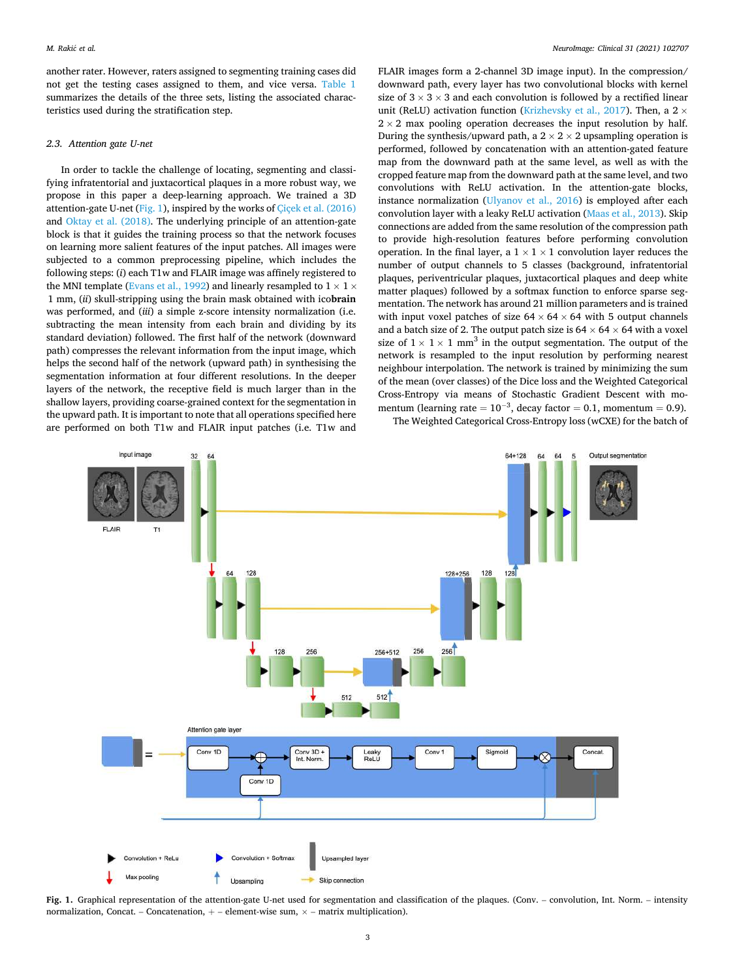<span id="page-2-0"></span>another rater. However, raters assigned to segmenting training cases did not get the testing cases assigned to them, and vice versa. [Table 1](#page-1-0)  summarizes the details of the three sets, listing the associated characteristics used during the stratification step.

### *2.3. Attention gate U-net*

In order to tackle the challenge of locating, segmenting and classifying infratentorial and juxtacortical plaques in a more robust way, we propose in this paper a deep-learning approach. We trained a 3D attention-gate U-net (Fig. 1), inspired by the works of [Çiçek et al. \(2016\)](#page-8-0)  and [Oktay et al. \(2018\)](#page-9-0). The underlying principle of an attention-gate block is that it guides the training process so that the network focuses on learning more salient features of the input patches. All images were subjected to a common preprocessing pipeline, which includes the following steps: (*i*) each T1w and FLAIR image was affinely registered to the MNI template [\(Evans et al., 1992\)](#page-8-0) and linearly resampled to  $1 \times 1 \times$ 1 mm, (*ii*) skull-stripping using the brain mask obtained with ico**brain**  was performed, and (*iii*) a simple z-score intensity normalization (i.e. subtracting the mean intensity from each brain and dividing by its standard deviation) followed. The first half of the network (downward path) compresses the relevant information from the input image, which helps the second half of the network (upward path) in synthesising the segmentation information at four different resolutions. In the deeper layers of the network, the receptive field is much larger than in the shallow layers, providing coarse-grained context for the segmentation in the upward path. It is important to note that all operations specified here are performed on both T1w and FLAIR input patches (i.e. T1w and

FLAIR images form a 2-channel 3D image input). In the compression/ downward path, every layer has two convolutional blocks with kernel size of  $3 \times 3 \times 3$  and each convolution is followed by a rectified linear unit (ReLU) activation function ([Krizhevsky et al., 2017](#page-8-0)). Then, a  $2 \times$  $2 \times 2$  max pooling operation decreases the input resolution by half. During the synthesis/upward path, a  $2 \times 2 \times 2$  upsampling operation is performed, followed by concatenation with an attention-gated feature map from the downward path at the same level, as well as with the cropped feature map from the downward path at the same level, and two convolutions with ReLU activation. In the attention-gate blocks, instance normalization [\(Ulyanov et al., 2016\)](#page-9-0) is employed after each convolution layer with a leaky ReLU activation ([Maas et al., 2013](#page-8-0)). Skip connections are added from the same resolution of the compression path to provide high-resolution features before performing convolution operation. In the final layer, a  $1 \times 1 \times 1$  convolution layer reduces the number of output channels to 5 classes (background, infratentorial plaques, periventricular plaques, juxtacortical plaques and deep white matter plaques) followed by a softmax function to enforce sparse segmentation. The network has around 21 million parameters and is trained with input voxel patches of size  $64 \times 64 \times 64$  with 5 output channels and a batch size of 2. The output patch size is  $64 \times 64 \times 64$  with a voxel size of  $1 \times 1 \times 1$  mm<sup>3</sup> in the output segmentation. The output of the network is resampled to the input resolution by performing nearest neighbour interpolation. The network is trained by minimizing the sum of the mean (over classes) of the Dice loss and the Weighted Categorical Cross-Entropy via means of Stochastic Gradient Descent with momentum (learning rate =  $10^{-3}$ , decay factor = 0.1, momentum = 0.9). The Weighted Categorical Cross-Entropy loss (wCXE) for the batch of



**Fig. 1.** Graphical representation of the attention-gate U-net used for segmentation and classification of the plaques. (Conv. – convolution, Int. Norm. – intensity normalization, Concat. – Concatenation,  $+$  – element-wise sum,  $\times$  – matrix multiplication).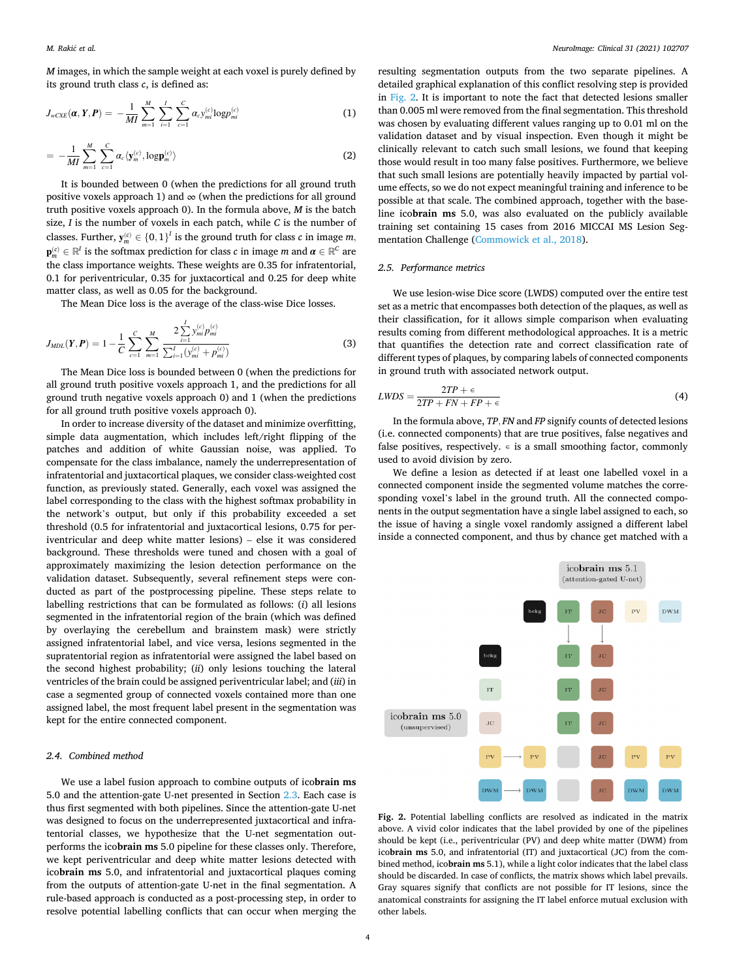*M* images, in which the sample weight at each voxel is purely defined by its ground truth class *c*, is defined as:

$$
J_{wCXE}(\boldsymbol{\alpha}, \boldsymbol{Y}, \boldsymbol{P}) = -\frac{1}{MI} \sum_{m=1}^{M} \sum_{i=1}^{I} \sum_{c=1}^{C} \alpha_c y_{mi}^{(c)} \log p_{mi}^{(c)} \tag{1}
$$

$$
= -\frac{1}{MI} \sum_{m=1}^{M} \sum_{c=1}^{C} \alpha_c \langle \mathbf{y}_m^{(c)}, \log \mathbf{p}_m^{(c)} \rangle \tag{2}
$$

It is bounded between 0 (when the predictions for all ground truth positive voxels approach 1) and  $\infty$  (when the predictions for all ground truth positive voxels approach 0). In the formula above, *M* is the batch size, *I* is the number of voxels in each patch, while *C* is the number of classes. Further,  $\mathbf{y}_m^{(c)} \in \{0,1\}^I$  is the ground truth for class  $c$  in image  $m$ ,  $\mathbf{p}_m^{(c)} \in \mathbb{R}^I$  is the softmax prediction for class  $c$  in image  $m$  and  $\pmb{\alpha} \in \mathbb{R}^C$  are the class importance weights. These weights are 0.35 for infratentorial, 0.1 for periventricular, 0.35 for juxtacortical and 0.25 for deep white matter class, as well as 0.05 for the background.

The Mean Dice loss is the average of the class-wise Dice losses.

$$
J_{MDL}(Y, P) = 1 - \frac{1}{C} \sum_{c=1}^{C} \sum_{m=1}^{M} \frac{2 \sum_{i=1}^{I} y_{mi}^{(c)} p_{mi}^{(c)}}{\sum_{i=1}^{I} (y_{mi}^{(c)} + p_{mi}^{(c)})}
$$
(3)

The Mean Dice loss is bounded between 0 (when the predictions for all ground truth positive voxels approach 1, and the predictions for all ground truth negative voxels approach 0) and 1 (when the predictions for all ground truth positive voxels approach 0).

In order to increase diversity of the dataset and minimize overfitting, simple data augmentation, which includes left/right flipping of the patches and addition of white Gaussian noise, was applied. To compensate for the class imbalance, namely the underrepresentation of infratentorial and juxtacortical plaques, we consider class-weighted cost function, as previously stated. Generally, each voxel was assigned the label corresponding to the class with the highest softmax probability in the network's output, but only if this probability exceeded a set threshold (0.5 for infratentorial and juxtacortical lesions, 0.75 for periventricular and deep white matter lesions) – else it was considered background. These thresholds were tuned and chosen with a goal of approximately maximizing the lesion detection performance on the validation dataset. Subsequently, several refinement steps were conducted as part of the postprocessing pipeline. These steps relate to labelling restrictions that can be formulated as follows: (*i*) all lesions segmented in the infratentorial region of the brain (which was defined by overlaying the cerebellum and brainstem mask) were strictly assigned infratentorial label, and vice versa, lesions segmented in the supratentorial region as infratentorial were assigned the label based on the second highest probability; (*ii*) only lesions touching the lateral ventricles of the brain could be assigned periventricular label; and (*iii*) in case a segmented group of connected voxels contained more than one assigned label, the most frequent label present in the segmentation was kept for the entire connected component.

## *2.4. Combined method*

We use a label fusion approach to combine outputs of ico**brain ms**  5.0 and the attention-gate U-net presented in Section [2.3](#page-2-0). Each case is thus first segmented with both pipelines. Since the attention-gate U-net was designed to focus on the underrepresented juxtacortical and infratentorial classes, we hypothesize that the U-net segmentation outperforms the ico**brain ms** 5.0 pipeline for these classes only. Therefore, we kept periventricular and deep white matter lesions detected with ico**brain ms** 5.0, and infratentorial and juxtacortical plaques coming from the outputs of attention-gate U-net in the final segmentation. A rule-based approach is conducted as a post-processing step, in order to resolve potential labelling conflicts that can occur when merging the

resulting segmentation outputs from the two separate pipelines. A detailed graphical explanation of this conflict resolving step is provided in Fig. 2. It is important to note the fact that detected lesions smaller than 0.005 ml were removed from the final segmentation. This threshold was chosen by evaluating different values ranging up to 0.01 ml on the validation dataset and by visual inspection. Even though it might be clinically relevant to catch such small lesions, we found that keeping those would result in too many false positives. Furthermore, we believe that such small lesions are potentially heavily impacted by partial volume effects, so we do not expect meaningful training and inference to be possible at that scale. The combined approach, together with the baseline ico**brain ms** 5.0, was also evaluated on the publicly available training set containing 15 cases from 2016 MICCAI MS Lesion Segmentation Challenge [\(Commowick et al., 2018\)](#page-8-0).

#### *2.5. Performance metrics*

We use lesion-wise Dice score (LWDS) computed over the entire test set as a metric that encompasses both detection of the plaques, as well as their classification, for it allows simple comparison when evaluating results coming from different methodological approaches. It is a metric that quantifies the detection rate and correct classification rate of different types of plaques, by comparing labels of connected components in ground truth with associated network output.

$$
LWDS = \frac{2TP + \epsilon}{2TP + FN + FP + \epsilon}
$$
\n<sup>(4)</sup>

In the formula above, *TP, FN* and *FP* signify counts of detected lesions (i.e. connected components) that are true positives, false negatives and false positives, respectively.  $\epsilon$  is a small smoothing factor, commonly used to avoid division by zero.

We define a lesion as detected if at least one labelled voxel in a connected component inside the segmented volume matches the corresponding voxel's label in the ground truth. All the connected components in the output segmentation have a single label assigned to each, so the issue of having a single voxel randomly assigned a different label inside a connected component, and thus by chance get matched with a



Fig. 2. Potential labelling conflicts are resolved as indicated in the matrix above. A vivid color indicates that the label provided by one of the pipelines should be kept (i.e., periventricular (PV) and deep white matter (DWM) from ico**brain ms** 5.0, and infratentorial (IT) and juxtacortical (JC) from the combined method, ico**brain ms** 5.1), while a light color indicates that the label class should be discarded. In case of conflicts, the matrix shows which label prevails. Gray squares signify that conflicts are not possible for IT lesions, since the anatomical constraints for assigning the IT label enforce mutual exclusion with other labels.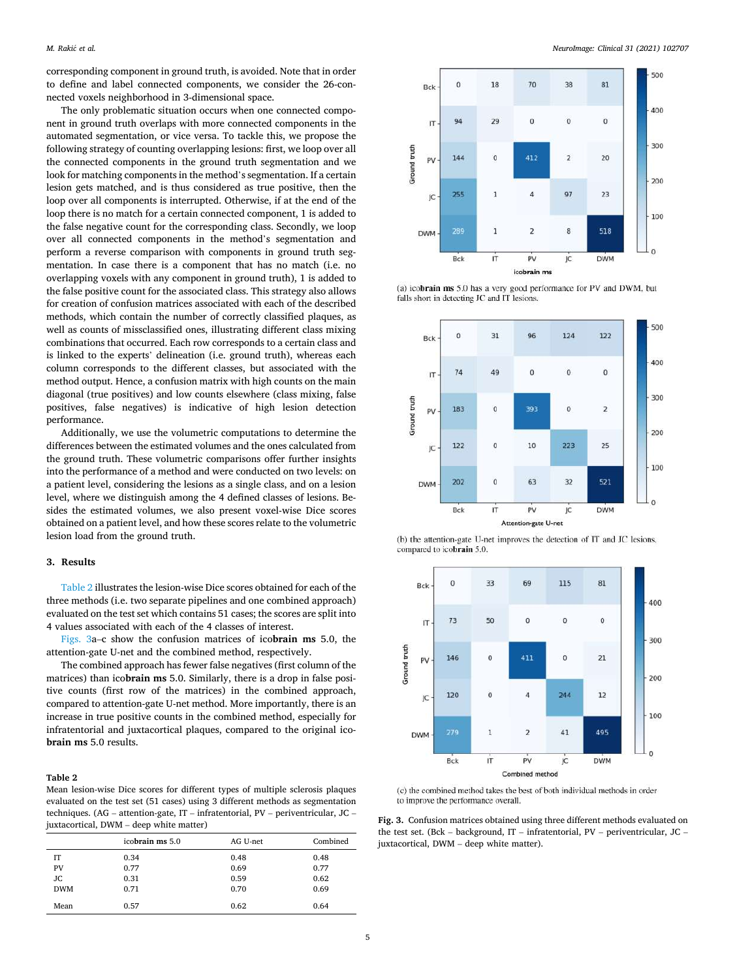<span id="page-4-0"></span>corresponding component in ground truth, is avoided. Note that in order to define and label connected components, we consider the 26-connected voxels neighborhood in 3-dimensional space.

The only problematic situation occurs when one connected component in ground truth overlaps with more connected components in the automated segmentation, or vice versa. To tackle this, we propose the following strategy of counting overlapping lesions: first, we loop over all the connected components in the ground truth segmentation and we look for matching components in the method's segmentation. If a certain lesion gets matched, and is thus considered as true positive, then the loop over all components is interrupted. Otherwise, if at the end of the loop there is no match for a certain connected component, 1 is added to the false negative count for the corresponding class. Secondly, we loop over all connected components in the method's segmentation and perform a reverse comparison with components in ground truth segmentation. In case there is a component that has no match (i.e. no overlapping voxels with any component in ground truth), 1 is added to the false positive count for the associated class. This strategy also allows for creation of confusion matrices associated with each of the described methods, which contain the number of correctly classified plaques, as well as counts of missclassified ones, illustrating different class mixing combinations that occurred. Each row corresponds to a certain class and is linked to the experts' delineation (i.e. ground truth), whereas each column corresponds to the different classes, but associated with the method output. Hence, a confusion matrix with high counts on the main diagonal (true positives) and low counts elsewhere (class mixing, false positives, false negatives) is indicative of high lesion detection performance.

Additionally, we use the volumetric computations to determine the differences between the estimated volumes and the ones calculated from the ground truth. These volumetric comparisons offer further insights into the performance of a method and were conducted on two levels: on a patient level, considering the lesions as a single class, and on a lesion level, where we distinguish among the 4 defined classes of lesions. Besides the estimated volumes, we also present voxel-wise Dice scores obtained on a patient level, and how these scores relate to the volumetric lesion load from the ground truth.

#### **3. Results**

Table 2 illustrates the lesion-wise Dice scores obtained for each of the three methods (i.e. two separate pipelines and one combined approach) evaluated on the test set which contains 51 cases; the scores are split into 4 values associated with each of the 4 classes of interest.

Figs. 3a–c show the confusion matrices of ico**brain ms** 5.0, the attention-gate U-net and the combined method, respectively.

The combined approach has fewer false negatives (first column of the matrices) than ico**brain ms** 5.0. Similarly, there is a drop in false positive counts (first row of the matrices) in the combined approach, compared to attention-gate U-net method. More importantly, there is an increase in true positive counts in the combined method, especially for infratentorial and juxtacortical plaques, compared to the original ico**brain ms** 5.0 results.

#### **Table 2**

Mean lesion-wise Dice scores for different types of multiple sclerosis plaques evaluated on the test set (51 cases) using 3 different methods as segmentation techniques. (AG – attention-gate, IT – infratentorial, PV – periventricular, JC – juxtacortical, DWM – deep white matter)

| -          |                 |          |          |
|------------|-----------------|----------|----------|
|            | icobrain ms 5.0 | AG U-net | Combined |
| IΤ         | 0.34            | 0.48     | 0.48     |
| PV         | 0.77            | 0.69     | 0.77     |
| JC         | 0.31            | 0.59     | 0.62     |
| <b>DWM</b> | 0.71            | 0.70     | 0.69     |
| Mean       | 0.57            | 0.62     | 0.64     |



(a) icobrain ms 5.0 has a very good performance for PV and DWM, but falls short in detecting JC and IT lesions.



(b) the attention-gate U-net improves the detection of IT and JC lesions, compared to icobrain 5.0.



(c) the combined method takes the best of both individual methods in order to improve the performance overall.

**Fig. 3.** Confusion matrices obtained using three different methods evaluated on the test set. (Bck – background, IT – infratentorial, PV – periventricular, JC – juxtacortical, DWM – deep white matter).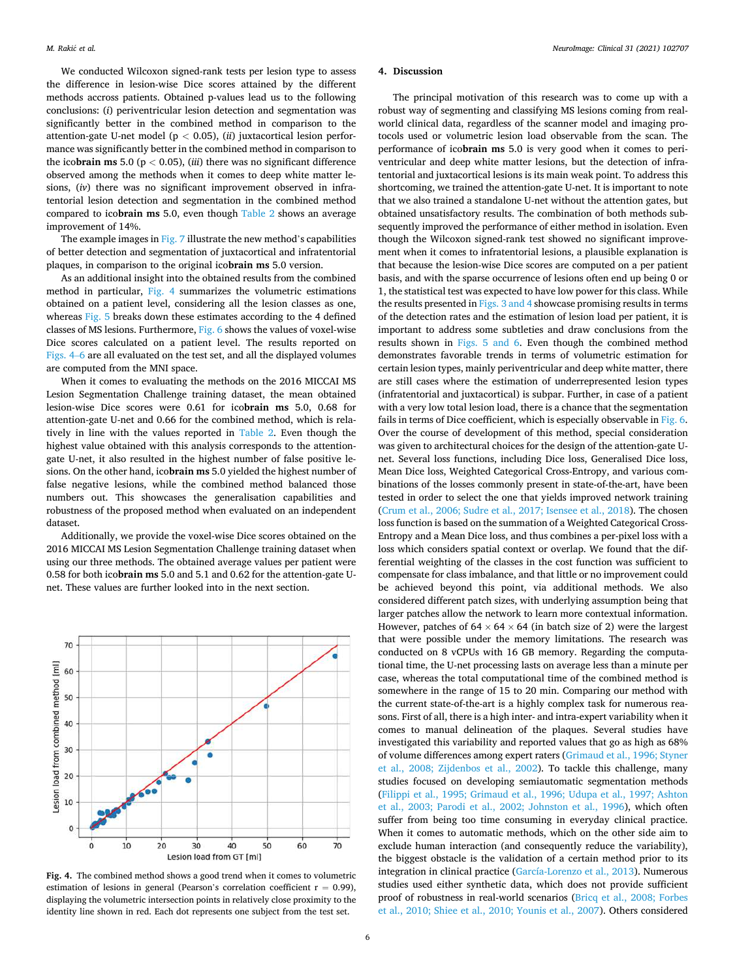We conducted Wilcoxon signed-rank tests per lesion type to assess the difference in lesion-wise Dice scores attained by the different methods accross patients. Obtained p-values lead us to the following conclusions: (*i*) periventricular lesion detection and segmentation was significantly better in the combined method in comparison to the attention-gate U-net model (p *<* 0.05), (*ii*) juxtacortical lesion performance was significantly better in the combined method in comparison to the ico**brain ms** 5.0 ( $p < 0.05$ ), (*iii*) there was no significant difference observed among the methods when it comes to deep white matter lesions, (*iv*) there was no significant improvement observed in infratentorial lesion detection and segmentation in the combined method compared to ico**brain ms** 5.0, even though [Table 2](#page-4-0) shows an average improvement of 14%.

The example images in [Fig. 7](#page-7-0) illustrate the new method's capabilities of better detection and segmentation of juxtacortical and infratentorial plaques, in comparison to the original ico**brain ms** 5.0 version.

As an additional insight into the obtained results from the combined method in particular, Fig. 4 summarizes the volumetric estimations obtained on a patient level, considering all the lesion classes as one, whereas [Fig. 5](#page-6-0) breaks down these estimates according to the 4 defined classes of MS lesions. Furthermore, [Fig. 6](#page-6-0) shows the values of voxel-wise Dice scores calculated on a patient level. The results reported on Figs. 4–6 are all evaluated on the test set, and all the displayed volumes are computed from the MNI space.

When it comes to evaluating the methods on the 2016 MICCAI MS Lesion Segmentation Challenge training dataset, the mean obtained lesion-wise Dice scores were 0.61 for ico**brain ms** 5.0, 0.68 for attention-gate U-net and 0.66 for the combined method, which is relatively in line with the values reported in [Table 2.](#page-4-0) Even though the highest value obtained with this analysis corresponds to the attentiongate U-net, it also resulted in the highest number of false positive lesions. On the other hand, ico**brain ms** 5.0 yielded the highest number of false negative lesions, while the combined method balanced those numbers out. This showcases the generalisation capabilities and robustness of the proposed method when evaluated on an independent dataset.

Additionally, we provide the voxel-wise Dice scores obtained on the 2016 MICCAI MS Lesion Segmentation Challenge training dataset when using our three methods. The obtained average values per patient were 0.58 for both ico**brain ms** 5.0 and 5.1 and 0.62 for the attention-gate Unet. These values are further looked into in the next section.



**Fig. 4.** The combined method shows a good trend when it comes to volumetric estimation of lesions in general (Pearson's correlation coefficient  $r = 0.99$ ), displaying the volumetric intersection points in relatively close proximity to the identity line shown in red. Each dot represents one subject from the test set.

### **4. Discussion**

The principal motivation of this research was to come up with a robust way of segmenting and classifying MS lesions coming from realworld clinical data, regardless of the scanner model and imaging protocols used or volumetric lesion load observable from the scan. The performance of ico**brain ms** 5.0 is very good when it comes to periventricular and deep white matter lesions, but the detection of infratentorial and juxtacortical lesions is its main weak point. To address this shortcoming, we trained the attention-gate U-net. It is important to note that we also trained a standalone U-net without the attention gates, but obtained unsatisfactory results. The combination of both methods subsequently improved the performance of either method in isolation. Even though the Wilcoxon signed-rank test showed no significant improvement when it comes to infratentorial lesions, a plausible explanation is that because the lesion-wise Dice scores are computed on a per patient basis, and with the sparse occurrence of lesions often end up being 0 or 1, the statistical test was expected to have low power for this class. While the results presented in [Figs. 3 and 4](#page-4-0) showcase promising results in terms of the detection rates and the estimation of lesion load per patient, it is important to address some subtleties and draw conclusions from the results shown in [Figs. 5 and 6](#page-6-0). Even though the combined method demonstrates favorable trends in terms of volumetric estimation for certain lesion types, mainly periventricular and deep white matter, there are still cases where the estimation of underrepresented lesion types (infratentorial and juxtacortical) is subpar. Further, in case of a patient with a very low total lesion load, there is a chance that the segmentation fails in terms of Dice coefficient, which is especially observable in [Fig. 6](#page-6-0). Over the course of development of this method, special consideration was given to architectural choices for the design of the attention-gate Unet. Several loss functions, including Dice loss, Generalised Dice loss, Mean Dice loss, Weighted Categorical Cross-Entropy, and various combinations of the losses commonly present in state-of-the-art, have been tested in order to select the one that yields improved network training ([Crum et al., 2006; Sudre et al., 2017; Isensee et al., 2018](#page-8-0)). The chosen loss function is based on the summation of a Weighted Categorical Cross-Entropy and a Mean Dice loss, and thus combines a per-pixel loss with a loss which considers spatial context or overlap. We found that the differential weighting of the classes in the cost function was sufficient to compensate for class imbalance, and that little or no improvement could be achieved beyond this point, via additional methods. We also considered different patch sizes, with underlying assumption being that larger patches allow the network to learn more contextual information. However, patches of  $64 \times 64 \times 64$  (in batch size of 2) were the largest that were possible under the memory limitations. The research was conducted on 8 vCPUs with 16 GB memory. Regarding the computational time, the U-net processing lasts on average less than a minute per case, whereas the total computational time of the combined method is somewhere in the range of 15 to 20 min. Comparing our method with the current state-of-the-art is a highly complex task for numerous reasons. First of all, there is a high inter- and intra-expert variability when it comes to manual delineation of the plaques. Several studies have investigated this variability and reported values that go as high as 68% of volume differences among expert raters ([Grimaud et al., 1996; Styner](#page-8-0)  [et al., 2008; Zijdenbos et al., 2002\)](#page-8-0). To tackle this challenge, many studies focused on developing semiautomatic segmentation methods ([Filippi et al., 1995; Grimaud et al., 1996; Udupa et al., 1997; Ashton](#page-8-0)  [et al., 2003; Parodi et al., 2002; Johnston et al., 1996](#page-8-0)), which often suffer from being too time consuming in everyday clinical practice. When it comes to automatic methods, which on the other side aim to exclude human interaction (and consequently reduce the variability), the biggest obstacle is the validation of a certain method prior to its integration in clinical practice [\(García-Lorenzo et al., 2013](#page-8-0)). Numerous studies used either synthetic data, which does not provide sufficient proof of robustness in real-world scenarios [\(Bricq et al., 2008; Forbes](#page-8-0)  [et al., 2010; Shiee et al., 2010; Younis et al., 2007\)](#page-8-0). Others considered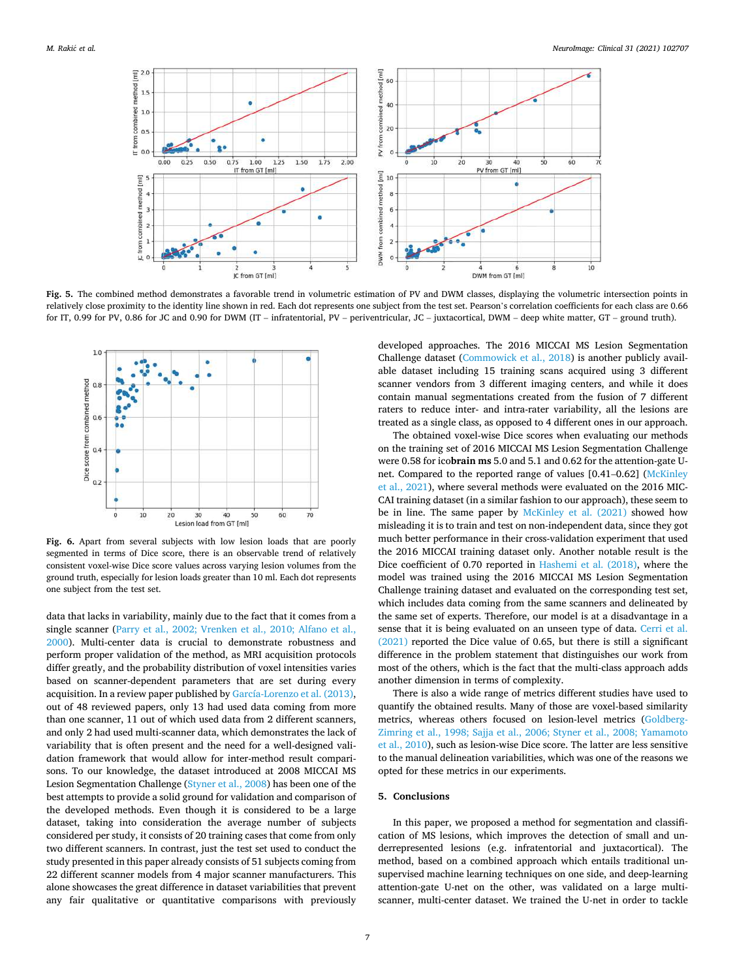<span id="page-6-0"></span>

**Fig. 5.** The combined method demonstrates a favorable trend in volumetric estimation of PV and DWM classes, displaying the volumetric intersection points in relatively close proximity to the identity line shown in red. Each dot represents one subject from the test set. Pearson's correlation coefficients for each class are 0.66 for IT, 0.99 for PV, 0.86 for JC and 0.90 for DWM (IT – infratentorial, PV – periventricular, JC – juxtacortical, DWM – deep white matter, GT – ground truth).



**Fig. 6.** Apart from several subjects with low lesion loads that are poorly segmented in terms of Dice score, there is an observable trend of relatively consistent voxel-wise Dice score values across varying lesion volumes from the ground truth, especially for lesion loads greater than 10 ml. Each dot represents one subject from the test set.

data that lacks in variability, mainly due to the fact that it comes from a single scanner [\(Parry et al., 2002; Vrenken et al., 2010; Alfano et al.,](#page-9-0)  [2000\)](#page-9-0). Multi-center data is crucial to demonstrate robustness and perform proper validation of the method, as MRI acquisition protocols differ greatly, and the probability distribution of voxel intensities varies based on scanner-dependent parameters that are set during every acquisition. In a review paper published by [García-Lorenzo et al. \(2013\)](#page-8-0), out of 48 reviewed papers, only 13 had used data coming from more than one scanner, 11 out of which used data from 2 different scanners, and only 2 had used multi-scanner data, which demonstrates the lack of variability that is often present and the need for a well-designed validation framework that would allow for inter-method result comparisons. To our knowledge, the dataset introduced at 2008 MICCAI MS Lesion Segmentation Challenge [\(Styner et al., 2008](#page-9-0)) has been one of the best attempts to provide a solid ground for validation and comparison of the developed methods. Even though it is considered to be a large dataset, taking into consideration the average number of subjects considered per study, it consists of 20 training cases that come from only two different scanners. In contrast, just the test set used to conduct the study presented in this paper already consists of 51 subjects coming from 22 different scanner models from 4 major scanner manufacturers. This alone showcases the great difference in dataset variabilities that prevent any fair qualitative or quantitative comparisons with previously

developed approaches. The 2016 MICCAI MS Lesion Segmentation Challenge dataset [\(Commowick et al., 2018\)](#page-8-0) is another publicly available dataset including 15 training scans acquired using 3 different scanner vendors from 3 different imaging centers, and while it does contain manual segmentations created from the fusion of 7 different raters to reduce inter- and intra-rater variability, all the lesions are treated as a single class, as opposed to 4 different ones in our approach.

The obtained voxel-wise Dice scores when evaluating our methods on the training set of 2016 MICCAI MS Lesion Segmentation Challenge were 0.58 for ico**brain ms** 5.0 and 5.1 and 0.62 for the attention-gate Unet. Compared to the reported range of values [0.41–0.62] [\(McKinley](#page-8-0)  [et al., 2021](#page-8-0)), where several methods were evaluated on the 2016 MIC-CAI training dataset (in a similar fashion to our approach), these seem to be in line. The same paper by [McKinley et al. \(2021\)](#page-8-0) showed how misleading it is to train and test on non-independent data, since they got much better performance in their cross-validation experiment that used the 2016 MICCAI training dataset only. Another notable result is the Dice coefficient of 0.70 reported in [Hashemi et al. \(2018\)](#page-8-0), where the model was trained using the 2016 MICCAI MS Lesion Segmentation Challenge training dataset and evaluated on the corresponding test set, which includes data coming from the same scanners and delineated by the same set of experts. Therefore, our model is at a disadvantage in a sense that it is being evaluated on an unseen type of data. [Cerri et al.](#page-8-0)  [\(2021\)](#page-8-0) reported the Dice value of 0.65, but there is still a significant difference in the problem statement that distinguishes our work from most of the others, which is the fact that the multi-class approach adds another dimension in terms of complexity.

There is also a wide range of metrics different studies have used to quantify the obtained results. Many of those are voxel-based similarity metrics, whereas others focused on lesion-level metrics ([Goldberg-](#page-8-0)[Zimring et al., 1998; Sajja et al., 2006; Styner et al., 2008; Yamamoto](#page-8-0)  [et al., 2010](#page-8-0)), such as lesion-wise Dice score. The latter are less sensitive to the manual delineation variabilities, which was one of the reasons we opted for these metrics in our experiments.

## **5. Conclusions**

In this paper, we proposed a method for segmentation and classification of MS lesions, which improves the detection of small and underrepresented lesions (e.g. infratentorial and juxtacortical). The method, based on a combined approach which entails traditional unsupervised machine learning techniques on one side, and deep-learning attention-gate U-net on the other, was validated on a large multiscanner, multi-center dataset. We trained the U-net in order to tackle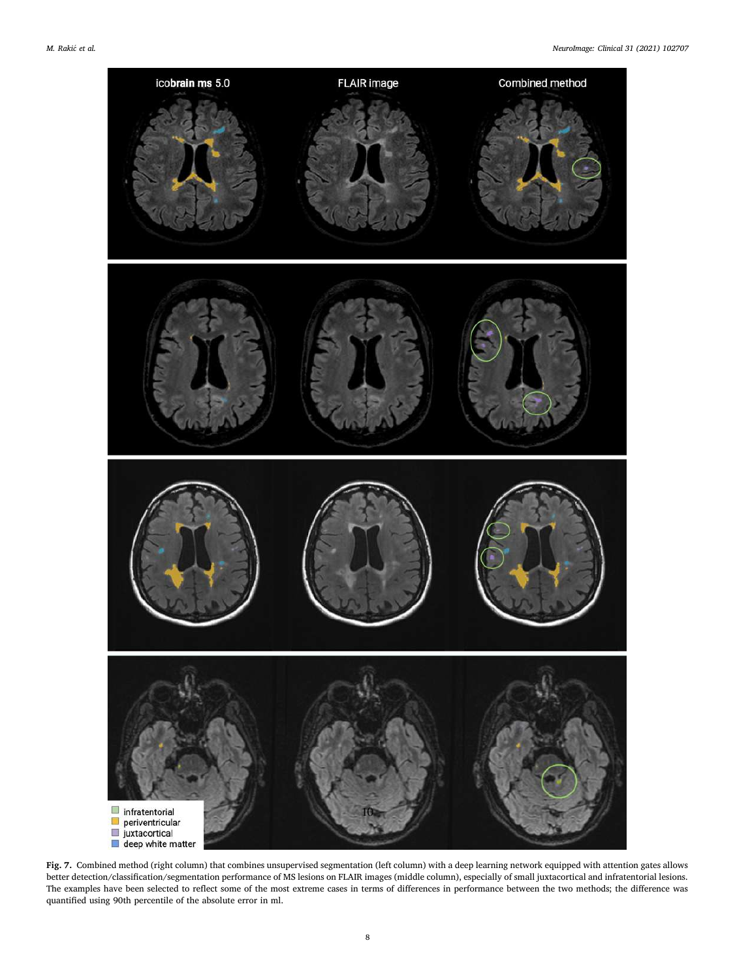<span id="page-7-0"></span>

**Fig. 7.** Combined method (right column) that combines unsupervised segmentation (left column) with a deep learning network equipped with attention gates allows better detection/classification/segmentation performance of MS lesions on FLAIR images (middle column), especially of small juxtacortical and infratentorial lesions. The examples have been selected to reflect some of the most extreme cases in terms of differences in performance between the two methods; the difference was quantified using 90th percentile of the absolute error in ml.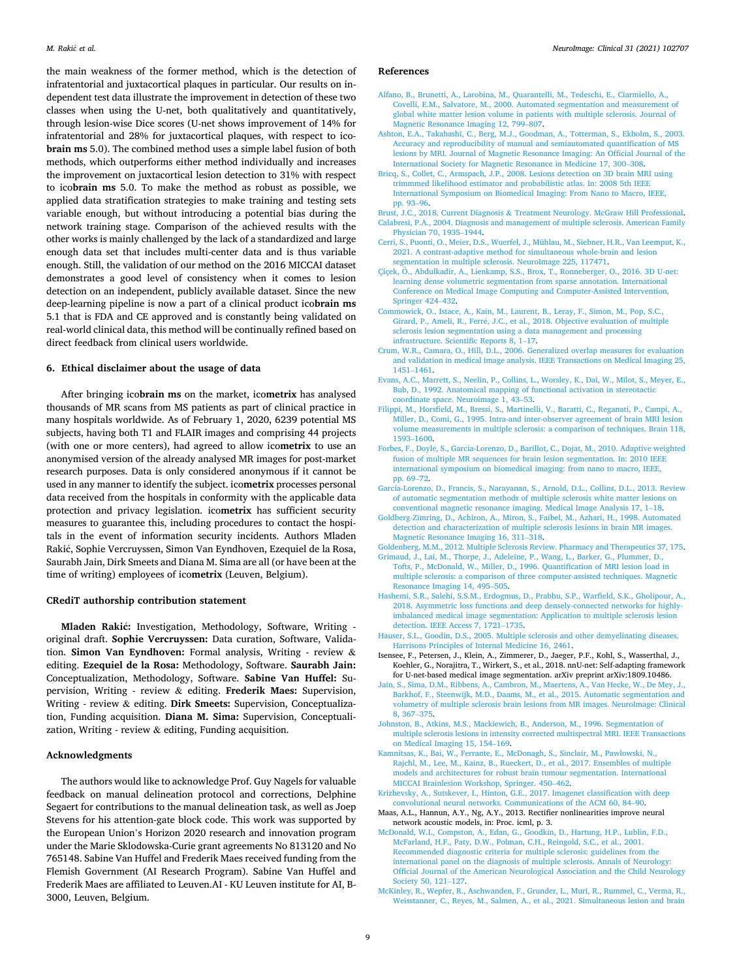<span id="page-8-0"></span>the main weakness of the former method, which is the detection of infratentorial and juxtacortical plaques in particular. Our results on independent test data illustrate the improvement in detection of these two classes when using the U-net, both qualitatively and quantitatively, through lesion-wise Dice scores (U-net shows improvement of 14% for infratentorial and 28% for juxtacortical plaques, with respect to ico**brain ms** 5.0). The combined method uses a simple label fusion of both methods, which outperforms either method individually and increases the improvement on juxtacortical lesion detection to 31% with respect to ico**brain ms** 5.0. To make the method as robust as possible, we applied data stratification strategies to make training and testing sets variable enough, but without introducing a potential bias during the network training stage. Comparison of the achieved results with the other works is mainly challenged by the lack of a standardized and large enough data set that includes multi-center data and is thus variable enough. Still, the validation of our method on the 2016 MICCAI dataset demonstrates a good level of consistency when it comes to lesion detection on an independent, publicly available dataset. Since the new deep-learning pipeline is now a part of a clinical product ico**brain ms**  5.1 that is FDA and CE approved and is constantly being validated on real-world clinical data, this method will be continually refined based on direct feedback from clinical users worldwide.

## **6. Ethical disclaimer about the usage of data**

After bringing ico**brain ms** on the market, ico**metrix** has analysed thousands of MR scans from MS patients as part of clinical practice in many hospitals worldwide. As of February 1, 2020, 6239 potential MS subjects, having both T1 and FLAIR images and comprising 44 projects (with one or more centers), had agreed to allow ico**metrix** to use an anonymised version of the already analysed MR images for post-market research purposes. Data is only considered anonymous if it cannot be used in any manner to identify the subject. ico**metrix** processes personal data received from the hospitals in conformity with the applicable data protection and privacy legislation. ico**metrix** has sufficient security measures to guarantee this, including procedures to contact the hospitals in the event of information security incidents. Authors Mladen Rakić, Sophie Vercruyssen, Simon Van Eyndhoven, Ezequiel de la Rosa, Saurabh Jain, Dirk Smeets and Diana M. Sima are all (or have been at the time of writing) employees of ico**metrix** (Leuven, Belgium).

#### **CRediT authorship contribution statement**

Mladen Rakić: Investigation, Methodology, Software, Writing original draft. **Sophie Vercruyssen:** Data curation, Software, Validation. **Simon Van Eyndhoven:** Formal analysis, Writing - review & editing. **Ezequiel de la Rosa:** Methodology, Software. **Saurabh Jain:**  Conceptualization, Methodology, Software. **Sabine Van Huffel:** Supervision, Writing - review & editing. **Frederik Maes:** Supervision, Writing - review & editing. **Dirk Smeets:** Supervision, Conceptualization, Funding acquisition. **Diana M. Sima:** Supervision, Conceptualization, Writing - review & editing, Funding acquisition.

## **Acknowledgments**

The authors would like to acknowledge Prof. Guy Nagels for valuable feedback on manual delineation protocol and corrections, Delphine Segaert for contributions to the manual delineation task, as well as Joep Stevens for his attention-gate block code. This work was supported by the European Union's Horizon 2020 research and innovation program under the Marie Sklodowska-Curie grant agreements No 813120 and No 765148. Sabine Van Huffel and Frederik Maes received funding from the Flemish Government (AI Research Program). Sabine Van Huffel and Frederik Maes are affiliated to Leuven.AI - KU Leuven institute for AI, B-3000, Leuven, Belgium.

#### **References**

- [Alfano, B., Brunetti, A., Larobina, M., Quarantelli, M., Tedeschi, E., Ciarmiello, A.,](http://refhub.elsevier.com/S2213-1582(21)00151-0/h0005) [Covelli, E.M., Salvatore, M., 2000. Automated segmentation and measurement of](http://refhub.elsevier.com/S2213-1582(21)00151-0/h0005)  [global white matter lesion volume in patients with multiple sclerosis. Journal of](http://refhub.elsevier.com/S2213-1582(21)00151-0/h0005)  [Magnetic Resonance Imaging 12, 799](http://refhub.elsevier.com/S2213-1582(21)00151-0/h0005)–807.
- [Ashton, E.A., Takahashi, C., Berg, M.J., Goodman, A., Totterman, S., Ekholm, S., 2003.](http://refhub.elsevier.com/S2213-1582(21)00151-0/h0010) [Accuracy and reproducibility of manual and semiautomated quantification of MS](http://refhub.elsevier.com/S2213-1582(21)00151-0/h0010) [lesions by MRI. Journal of Magnetic Resonance Imaging: An Official Journal of the](http://refhub.elsevier.com/S2213-1582(21)00151-0/h0010)  [International Society for Magnetic Resonance in Medicine 17, 300](http://refhub.elsevier.com/S2213-1582(21)00151-0/h0010)–308.
- [Bricq, S., Collet, C., Armspach, J.P., 2008. Lesions detection on 3D brain MRI using](http://refhub.elsevier.com/S2213-1582(21)00151-0/h0015) [trimmmed likelihood estimator and probabilistic atlas. In: 2008 5th IEEE](http://refhub.elsevier.com/S2213-1582(21)00151-0/h0015) [International Symposium on Biomedical Imaging: From Nano to Macro, IEEE,](http://refhub.elsevier.com/S2213-1582(21)00151-0/h0015) [pp. 93](http://refhub.elsevier.com/S2213-1582(21)00151-0/h0015)–96.
- Brust, J.C., 2018. Current Diagnosis & [Treatment Neurology. McGraw Hill Professional.](http://refhub.elsevier.com/S2213-1582(21)00151-0/h0020) [Calabresi, P.A., 2004. Diagnosis and management of multiple sclerosis. American Family](http://refhub.elsevier.com/S2213-1582(21)00151-0/h0025)  [Physician 70, 1935](http://refhub.elsevier.com/S2213-1582(21)00151-0/h0025)–1944.
- [Cerri, S., Puonti, O., Meier, D.S., Wuerfel, J., Mühlau, M., Siebner, H.R., Van Leemput, K.,](http://refhub.elsevier.com/S2213-1582(21)00151-0/h0030)  [2021. A contrast-adaptive method for simultaneous whole-brain and lesion](http://refhub.elsevier.com/S2213-1582(21)00151-0/h0030)  [segmentation in multiple sclerosis. NeuroImage 225, 117471](http://refhub.elsevier.com/S2213-1582(21)00151-0/h0030).
- Çiçek, Ö., [Abdulkadir, A., Lienkamp, S.S., Brox, T., Ronneberger, O., 2016. 3D U-net:](http://refhub.elsevier.com/S2213-1582(21)00151-0/h0035) [learning dense volumetric segmentation from sparse annotation. International](http://refhub.elsevier.com/S2213-1582(21)00151-0/h0035)  [Conference on Medical Image Computing and Computer-Assisted Intervention,](http://refhub.elsevier.com/S2213-1582(21)00151-0/h0035)  [Springer 424](http://refhub.elsevier.com/S2213-1582(21)00151-0/h0035)–432.
- [Commowick, O., Istace, A., Kain, M., Laurent, B., Leray, F., Simon, M., Pop, S.C.,](http://refhub.elsevier.com/S2213-1582(21)00151-0/h0040) Girard, P., Ameli, R., Ferré, J.C., et al., 2018. Objective evaluation of multiple [sclerosis lesion segmentation using a data management and processing](http://refhub.elsevier.com/S2213-1582(21)00151-0/h0040) [infrastructure. Scientific Reports 8, 1](http://refhub.elsevier.com/S2213-1582(21)00151-0/h0040)–17.
- [Crum, W.R., Camara, O., Hill, D.L., 2006. Generalized overlap measures for evaluation](http://refhub.elsevier.com/S2213-1582(21)00151-0/h0045) [and validation in medical image analysis. IEEE Transactions on Medical Imaging 25,](http://refhub.elsevier.com/S2213-1582(21)00151-0/h0045)  [1451](http://refhub.elsevier.com/S2213-1582(21)00151-0/h0045)–1461.
- [Evans, A.C., Marrett, S., Neelin, P., Collins, L., Worsley, K., Dai, W., Milot, S., Meyer, E.,](http://refhub.elsevier.com/S2213-1582(21)00151-0/h0050)  [Bub, D., 1992. Anatomical mapping of functional activation in stereotactic](http://refhub.elsevier.com/S2213-1582(21)00151-0/h0050)  [coordinate space. Neuroimage 1, 43](http://refhub.elsevier.com/S2213-1582(21)00151-0/h0050)–53.
- [Filippi, M., Horsfield, M., Bressi, S., Martinelli, V., Baratti, C., Reganati, P., Campi, A.,](http://refhub.elsevier.com/S2213-1582(21)00151-0/h0055)  [Miller, D., Comi, G., 1995. Intra-and inter-observer agreement of brain MRI lesion](http://refhub.elsevier.com/S2213-1582(21)00151-0/h0055) [volume measurements in multiple sclerosis: a comparison of techniques. Brain 118,](http://refhub.elsevier.com/S2213-1582(21)00151-0/h0055)  [1593](http://refhub.elsevier.com/S2213-1582(21)00151-0/h0055)–1600.
- [Forbes, F., Doyle, S., Garcia-Lorenzo, D., Barillot, C., Dojat, M., 2010. Adaptive weighted](http://refhub.elsevier.com/S2213-1582(21)00151-0/h0060)  [fusion of multiple MR sequences for brain lesion segmentation. In: 2010 IEEE](http://refhub.elsevier.com/S2213-1582(21)00151-0/h0060) [international symposium on biomedical imaging: from nano to macro, IEEE,](http://refhub.elsevier.com/S2213-1582(21)00151-0/h0060) [pp. 69](http://refhub.elsevier.com/S2213-1582(21)00151-0/h0060)–72.
- [García-Lorenzo, D., Francis, S., Narayanan, S., Arnold, D.L., Collins, D.L., 2013. Review](http://refhub.elsevier.com/S2213-1582(21)00151-0/h0065)  [of automatic segmentation methods of multiple sclerosis white matter lesions on](http://refhub.elsevier.com/S2213-1582(21)00151-0/h0065)  [conventional magnetic resonance imaging. Medical Image Analysis 17, 1](http://refhub.elsevier.com/S2213-1582(21)00151-0/h0065)–18.
- [Goldberg-Zimring, D., Achiron, A., Miron, S., Faibel, M., Azhari, H., 1998. Automated](http://refhub.elsevier.com/S2213-1582(21)00151-0/h0070) [detection and characterization of multiple sclerosis lesions in brain MR images.](http://refhub.elsevier.com/S2213-1582(21)00151-0/h0070) [Magnetic Resonance Imaging 16, 311](http://refhub.elsevier.com/S2213-1582(21)00151-0/h0070)–318.
- [Goldenberg, M.M., 2012. Multiple Sclerosis Review. Pharmacy and Therapeutics 37, 175.](http://refhub.elsevier.com/S2213-1582(21)00151-0/h0075)
- [Grimaud, J., Lai, M., Thorpe, J., Adeleine, P., Wang, L., Barker, G., Plummer, D.,](http://refhub.elsevier.com/S2213-1582(21)00151-0/h0080)  [Tofts, P., McDonald, W., Miller, D., 1996. Quantification of MRI lesion load in](http://refhub.elsevier.com/S2213-1582(21)00151-0/h0080) [multiple sclerosis: a comparison of three computer-assisted techniques. Magnetic](http://refhub.elsevier.com/S2213-1582(21)00151-0/h0080) [Resonance Imaging 14, 495](http://refhub.elsevier.com/S2213-1582(21)00151-0/h0080)–505.
- [Hashemi, S.R., Salehi, S.S.M., Erdogmus, D., Prabhu, S.P., Warfield, S.K., Gholipour, A.,](http://refhub.elsevier.com/S2213-1582(21)00151-0/h0085)  [2018. Asymmetric loss functions and deep densely-connected networks for highly](http://refhub.elsevier.com/S2213-1582(21)00151-0/h0085)[imbalanced medical image segmentation: Application to multiple sclerosis lesion](http://refhub.elsevier.com/S2213-1582(21)00151-0/h0085)  [detection. IEEE Access 7, 1721](http://refhub.elsevier.com/S2213-1582(21)00151-0/h0085)–1735.
- [Hauser, S.L., Goodin, D.S., 2005. Multiple sclerosis and other demyelinating diseases.](http://refhub.elsevier.com/S2213-1582(21)00151-0/h0090) [Harrisons Principles of Internal Medicine 16, 2461](http://refhub.elsevier.com/S2213-1582(21)00151-0/h0090).
- Isensee, F., Petersen, J., Klein, A., Zimmerer, D., Jaeger, P.F., Kohl, S., Wasserthal, J., Koehler, G., Norajitra, T., Wirkert, S., et al., 2018. nnU-net: Self-adapting framework for U-net-based medical image segmentation. arXiv preprint arXiv:1809.10486.
- [Jain, S., Sima, D.M., Ribbens, A., Cambron, M., Maertens, A., Van Hecke, W., De Mey, J.,](http://refhub.elsevier.com/S2213-1582(21)00151-0/h0100)  [Barkhof, F., Steenwijk, M.D., Daams, M., et al., 2015. Automatic segmentation and](http://refhub.elsevier.com/S2213-1582(21)00151-0/h0100) [volumetry of multiple sclerosis brain lesions from MR images. NeuroImage: Clinical](http://refhub.elsevier.com/S2213-1582(21)00151-0/h0100)  [8, 367](http://refhub.elsevier.com/S2213-1582(21)00151-0/h0100)–375.
- [Johnston, B., Atkins, M.S., Mackiewich, B., Anderson, M., 1996. Segmentation of](http://refhub.elsevier.com/S2213-1582(21)00151-0/h0105)  [multiple sclerosis lesions in intensity corrected multispectral MRI. IEEE Transactions](http://refhub.elsevier.com/S2213-1582(21)00151-0/h0105)  [on Medical Imaging 15, 154](http://refhub.elsevier.com/S2213-1582(21)00151-0/h0105)–169.
- [Kamnitsas, K., Bai, W., Ferrante, E., McDonagh, S., Sinclair, M., Pawlowski, N.,](http://refhub.elsevier.com/S2213-1582(21)00151-0/h0110)  [Rajchl, M., Lee, M., Kainz, B., Rueckert, D., et al., 2017. Ensembles of multiple](http://refhub.elsevier.com/S2213-1582(21)00151-0/h0110) [models and architectures for robust brain tumour segmentation. International](http://refhub.elsevier.com/S2213-1582(21)00151-0/h0110) [MICCAI Brainlesion Workshop, Springer. 450](http://refhub.elsevier.com/S2213-1582(21)00151-0/h0110)–462.
- [Krizhevsky, A., Sutskever, I., Hinton, G.E., 2017. Imagenet classification with deep](http://refhub.elsevier.com/S2213-1582(21)00151-0/h0115)  [convolutional neural networks. Communications of the ACM 60, 84](http://refhub.elsevier.com/S2213-1582(21)00151-0/h0115)–90.
- Maas, A.L., Hannun, A.Y., Ng, A.Y., 2013. Rectifier nonlinearities improve neural network acoustic models, in: Proc. icml, p. 3.
- [McDonald, W.I., Compston, A., Edan, G., Goodkin, D., Hartung, H.P., Lublin, F.D.,](http://refhub.elsevier.com/S2213-1582(21)00151-0/h0125) [McFarland, H.F., Paty, D.W., Polman, C.H., Reingold, S.C., et al., 2001.](http://refhub.elsevier.com/S2213-1582(21)00151-0/h0125) [Recommended diagnostic criteria for multiple sclerosis: guidelines from the](http://refhub.elsevier.com/S2213-1582(21)00151-0/h0125) [international panel on the diagnosis of multiple sclerosis. Annals of Neurology:](http://refhub.elsevier.com/S2213-1582(21)00151-0/h0125) [Official Journal of the American Neurological Association and the Child Neurology](http://refhub.elsevier.com/S2213-1582(21)00151-0/h0125)  [Society 50, 121](http://refhub.elsevier.com/S2213-1582(21)00151-0/h0125)–127.
- [McKinley, R., Wepfer, R., Aschwanden, F., Grunder, L., Muri, R., Rummel, C., Verma, R.,](http://refhub.elsevier.com/S2213-1582(21)00151-0/h0130)  [Weisstanner, C., Reyes, M., Salmen, A., et al., 2021. Simultaneous lesion and brain](http://refhub.elsevier.com/S2213-1582(21)00151-0/h0130)